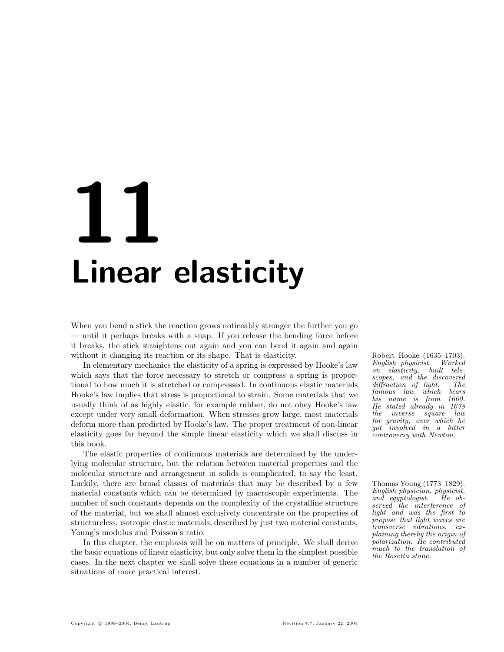# **1** Linear elasticity

When you bend a stick the reaction grows noticeably stronger the further you go — until it perhaps breaks with a snap. If you release the bending force before it breaks, the stick straightens out again and you can bend it again and again without it changing its reaction or its shape. That is elasticity. Robert Hooke (1635–1703).

In elementary mechanics the elasticity of a spring is expressed by Hooke's law which says that the force necessary to stretch or compress a spring is proportional to how much it is stretched or compressed. In continuous elastic materials Hooke's law implies that stress is proportional to strain. Some materials that we usually think of as highly elastic, for example rubber, do not obey Hooke's law except under very small deformation. When stresses grow large, most materials deform more than predicted by Hooke's law. The proper treatment of non-linear elasticity goes far beyond the simple linear elasticity which we shall discuss in this book.

The elastic properties of continuous materials are determined by the underlying molecular structure, but the relation between material properties and the molecular structure and arrangement in solids is complicated, to say the least. Luckily, there are broad classes of materials that may be described by a few Thomas Young (1773–1829). material constants which can be determined by macroscopic experiments. The number of such constants depends on the complexity of the crystalline structure of the material, but we shall almost exclusively concentrate on the properties of structureless, isotropic elastic materials, described by just two material constants, Young's modulus and Poisson's ratio.

In this chapter, the emphasis will be on matters of principle. We shall derive the basic equations of linear elasticity, but only solve them in the simplest possible cases. In the next chapter we shall solve these equations in a number of generic situations of more practical interest.

English physicist. Worked on elasticity, built telescopes, and the discovered<br>diffraction of light. The diffraction of light. The<br>famous law which bears  $famous \quad law \quad which$ his name is from 1660. He stated already in 1678 the inverse square law for gravity, over which he got involved in a bitter controversy with Newton.

English physician, physicist, and egyptologist. He observed the interference of light and was the first to propose that light waves are transverse vibrations, explaining thereby the origin of polarization. He contributed much to the translation of the Rosetta stone.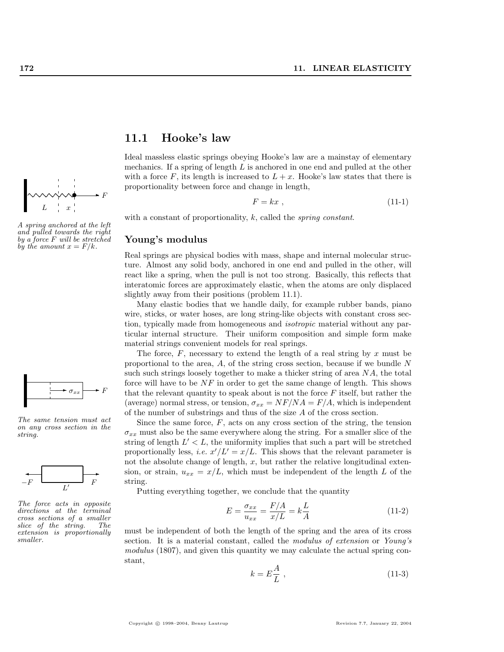

A spring anchored at the left and pulled towards the right by a force F will be stretched by the amount  $x = F/k$ .



The same tension must act on any cross section in the string.



The force acts in opposite directions at the terminal cross sections of a smaller slice of the string. The extension is proportionally smaller.

## 11.1 Hooke's law

Ideal massless elastic springs obeying Hooke's law are a mainstay of elementary mechanics. If a spring of length L is anchored in one end and pulled at the other with a force F, its length is increased to  $L + x$ . Hooke's law states that there is proportionality between force and change in length,

$$
F = kx \t{,} \t(11-1)
$$

with a constant of proportionality,  $k$ , called the *spring constant*.

## Young's modulus

Real springs are physical bodies with mass, shape and internal molecular structure. Almost any solid body, anchored in one end and pulled in the other, will react like a spring, when the pull is not too strong. Basically, this reflects that interatomic forces are approximately elastic, when the atoms are only displaced slightly away from their positions (problem 11.1).

Many elastic bodies that we handle daily, for example rubber bands, piano wire, sticks, or water hoses, are long string-like objects with constant cross section, typically made from homogeneous and isotropic material without any particular internal structure. Their uniform composition and simple form make material strings convenient models for real springs.

The force,  $F$ , necessary to extend the length of a real string by  $x$  must be proportional to the area,  $A$ , of the string cross section, because if we bundle  $N$ such such strings loosely together to make a thicker string of area NA, the total force will have to be  $NF$  in order to get the same change of length. This shows that the relevant quantity to speak about is not the force  $F$  itself, but rather the (average) normal stress, or tension,  $\sigma_{xx} = NF/NA = F/A$ , which is independent of the number of substrings and thus of the size A of the cross section.

Since the same force,  $F$ , acts on any cross section of the string, the tension  $\sigma_{xx}$  must also be the same everywhere along the string. For a smaller slice of the string of length  $L' < L$ , the uniformity implies that such a part will be stretched proportionally less, *i.e.*  $x'/L' = x/L$ . This shows that the relevant parameter is not the absolute change of length,  $x$ , but rather the relative longitudinal extension, or strain,  $u_{xx} = x/L$ , which must be independent of the length L of the string.

Putting everything together, we conclude that the quantity

$$
E = \frac{\sigma_{xx}}{u_{xx}} = \frac{F/A}{x/L} = k\frac{L}{A}
$$
\n(11-2)

must be independent of both the length of the spring and the area of its cross section. It is a material constant, called the modulus of extension or Young's modulus (1807), and given this quantity we may calculate the actual spring constant,

$$
k = E\frac{A}{L} \t\t(11-3)
$$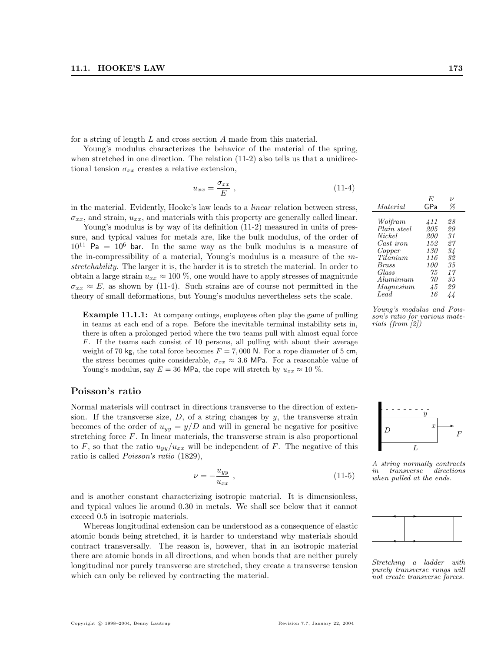for a string of length L and cross section A made from this material.

Young's modulus characterizes the behavior of the material of the spring, when stretched in one direction. The relation  $(11-2)$  also tells us that a unidirectional tension  $\sigma_{xx}$  creates a relative extension,

$$
u_{xx} = \frac{\sigma_{xx}}{E} \t{11-4}
$$

in the material. Evidently, Hooke's law leads to a linear relation between stress,  $\sigma_{xx}$ , and strain,  $u_{xx}$ , and materials with this property are generally called linear.

Young's modulus is by way of its definition (11-2) measured in units of pressure, and typical values for metals are, like the bulk modulus, of the order of  $10^{11}$  Pa =  $10^6$  bar. In the same way as the bulk modulus is a measure of the in-compressibility of a material, Young's modulus is a measure of the instretchability. The larger it is, the harder it is to stretch the material. In order to obtain a large strain  $u_{xx} \approx 100\%$ , one would have to apply stresses of magnitude  $\sigma_{xx} \approx E$ , as shown by (11-4). Such strains are of course not permitted in the theory of small deformations, but Young's modulus nevertheless sets the scale.

Example 11.1.1: At company outings, employees often play the game of pulling in teams at each end of a rope. Before the inevitable terminal instability sets in, there is often a prolonged period where the two teams pull with almost equal force F. If the teams each consist of 10 persons, all pulling with about their average weight of 70 kg, the total force becomes  $F = 7,000$  N. For a rope diameter of 5 cm, the stress becomes quite considerable,  $\sigma_{xx} \approx 3.6$  MPa. For a reasonable value of Young's modulus, say  $E = 36$  MPa, the rope will stretch by  $u_{xx} \approx 10$  %.

#### Poisson's ratio

Normal materials will contract in directions transverse to the direction of extension. If the transverse size,  $D$ , of a string changes by  $y$ , the transverse strain becomes of the order of  $u_{yy} = y/D$  and will in general be negative for positive stretching force F. In linear materials, the transverse strain is also proportional to F, so that the ratio  $u_{yy}/u_{xx}$  will be independent of F. The negative of this ratio is called Poisson's ratio (1829),

$$
\nu = -\frac{u_{yy}}{u_{xx}} \,, \tag{11-5}
$$

and is another constant characterizing isotropic material. It is dimensionless, and typical values lie around 0.30 in metals. We shall see below that it cannot exceed 0.5 in isotropic materials.

Whereas longitudinal extension can be understood as a consequence of elastic atomic bonds being stretched, it is harder to understand why materials should contract transversally. The reason is, however, that in an isotropic material there are atomic bonds in all directions, and when bonds that are neither purely longitudinal nor purely transverse are stretched, they create a transverse tension which can only be relieved by contracting the material.

| Material     | E<br>GPa | $\boldsymbol{\nu}$<br>℅ |
|--------------|----------|-------------------------|
| Wolfram      | 411      | 28                      |
| Plain steel  | 205      | 29                      |
| Nickel       | 200      | 31                      |
| Cast iron    | 152      | 27                      |
| Copper       | 130      | 34                      |
| Titanium     | 116      | 32                      |
| <i>Brass</i> | 100      | 35                      |
| Glass        | 75       | 17                      |
| Aluminium    | 70       | 35                      |
| Magnesium    | 45       | 29                      |
| Lead         | 16       | 44                      |

Young's modulus and Poisson's ratio for various materials (from [2])



 $A \text{ string normally contracts} \ \text{in} \ \text{transverse} \ \text{directions}$  $in$  transverse  $w_{\text{then}}$  pulled at the ends.



Stretching a ladder with purely transverse rungs will not create transverse forces.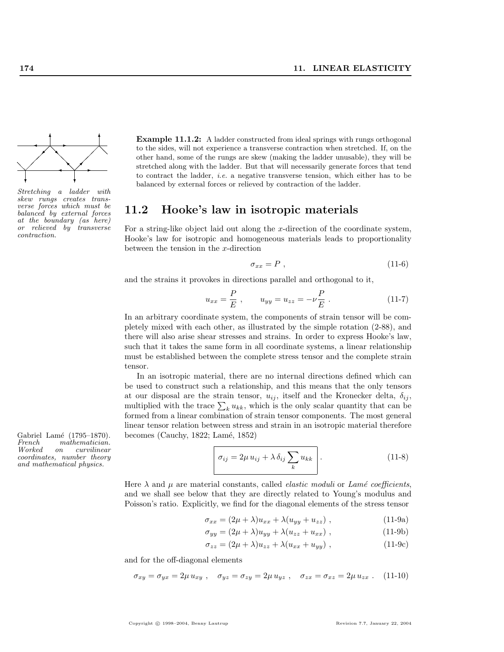

Stretching a ladder with skew rungs creates transverse forces which must be balanced by external forces at the boundary (as here) or relieved by transverse contraction.

Gabriel Lamé (1795–1870). becomes (Cauchy, 1822; Lamé, 1852)<br>French mathematician. French mathematician. on curvilinear coordinates, number theory and mathematical physics.

Example 11.1.2: A ladder constructed from ideal springs with rungs orthogonal to the sides, will not experience a transverse contraction when stretched. If, on the other hand, some of the rungs are skew (making the ladder unusable), they will be stretched along with the ladder. But that will necessarily generate forces that tend to contract the ladder, *i.e.* a negative transverse tension, which either has to be balanced by external forces or relieved by contraction of the ladder.

# 11.2 Hooke's law in isotropic materials

For a string-like object laid out along the x-direction of the coordinate system, Hooke's law for isotropic and homogeneous materials leads to proportionality between the tension in the x-direction

$$
\sigma_{xx} = P \t{,} \t(11-6)
$$

and the strains it provokes in directions parallel and orthogonal to it,

$$
u_{xx} = \frac{P}{E} , \qquad u_{yy} = u_{zz} = -\nu \frac{P}{E} . \tag{11-7}
$$

In an arbitrary coordinate system, the components of strain tensor will be completely mixed with each other, as illustrated by the simple rotation (2-88), and there will also arise shear stresses and strains. In order to express Hooke's law, such that it takes the same form in all coordinate systems, a linear relationship must be established between the complete stress tensor and the complete strain tensor.

In an isotropic material, there are no internal directions defined which can be used to construct such a relationship, and this means that the only tensors at our disposal are the strain tensor,  $u_{ij}$ , itself and the Kronecker delta,  $\delta_{ij}$ , at our disposal are the strain tensor,  $u_{ij}$ , itself and the Kronecker delta,  $o_{ij}$ , multiplied with the trace  $\sum_k u_{kk}$ , which is the only scalar quantity that can be formed from a linear combination of strain tensor components. The most general linear tensor relation between stress and strain in an isotropic material therefore

$$
\sigma_{ij} = 2\mu u_{ij} + \lambda \delta_{ij} \sum_{k} u_{kk} \quad . \tag{11-8}
$$

Here  $\lambda$  and  $\mu$  are material constants, called *elastic moduli* or Lamé coefficients, and we shall see below that they are directly related to Young's modulus and Poisson's ratio. Explicitly, we find for the diagonal elements of the stress tensor

$$
\sigma_{xx} = (2\mu + \lambda)u_{xx} + \lambda(u_{yy} + u_{zz}), \qquad (11-9a)
$$

$$
\sigma_{yy} = (2\mu + \lambda)u_{yy} + \lambda(u_{zz} + u_{xx}), \qquad (11-9b)
$$

$$
\sigma_{zz} = (2\mu + \lambda)u_{zz} + \lambda(u_{xx} + u_{yy}), \qquad (11-9c)
$$

and for the off-diagonal elements

$$
\sigma_{xy} = \sigma_{yx} = 2\mu u_{xy} , \quad \sigma_{yz} = \sigma_{zy} = 2\mu u_{yz} , \quad \sigma_{zx} = \sigma_{xz} = 2\mu u_{zx} . \quad (11-10)
$$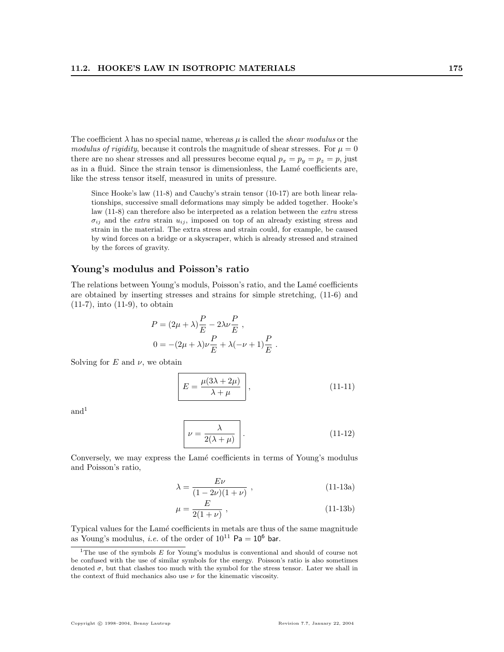The coefficient  $\lambda$  has no special name, whereas  $\mu$  is called the *shear modulus* or the modulus of rigidity, because it controls the magnitude of shear stresses. For  $\mu = 0$ there are no shear stresses and all pressures become equal  $p_x = p_y = p_z = p$ , just as in a fluid. Since the strain tensor is dimensionless, the Lamé coefficients are, like the stress tensor itself, measured in units of pressure.

Since Hooke's law (11-8) and Cauchy's strain tensor (10-17) are both linear relationships, successive small deformations may simply be added together. Hooke's law (11-8) can therefore also be interpreted as a relation between the extra stress  $\sigma_{ij}$  and the *extra* strain  $u_{ij}$ , imposed on top of an already existing stress and strain in the material. The extra stress and strain could, for example, be caused by wind forces on a bridge or a skyscraper, which is already stressed and strained by the forces of gravity.

## Young's modulus and Poisson's ratio

The relations between Young's moduls, Poisson's ratio, and the Lamé coefficients are obtained by inserting stresses and strains for simple stretching, (11-6) and (11-7), into (11-9), to obtain

$$
P = (2\mu + \lambda)\frac{P}{E} - 2\lambda\nu\frac{P}{E},
$$
  

$$
0 = -(2\mu + \lambda)\nu\frac{P}{E} + \lambda(-\nu + 1)\frac{P}{E}.
$$

Solving for  $E$  and  $\nu$ , we obtain

$$
E = \frac{\mu(3\lambda + 2\mu)}{\lambda + \mu},
$$
\n(11-11)

 $and<sup>1</sup>$ 

$$
\nu = \frac{\lambda}{2(\lambda + \mu)}.
$$
\n(11-12)

Conversely, we may express the Lamé coefficients in terms of Young's modulus and Poisson's ratio,

$$
\lambda = \frac{E\nu}{(1 - 2\nu)(1 + \nu)} , \qquad (11-13a)
$$

$$
\mu = \frac{E}{2(1+\nu)} \,, \tag{11-13b}
$$

Typical values for the Lamé coefficients in metals are thus of the same magnitude as Young's modulus, *i.e.* of the order of  $10^{11}$  Pa =  $10^6$  bar.

 $1$ <sup>1</sup>The use of the symbols  $E$  for Young's modulus is conventional and should of course not be confused with the use of similar symbols for the energy. Poisson's ratio is also sometimes denoted  $\sigma$ , but that clashes too much with the symbol for the stress tensor. Later we shall in the context of fluid mechanics also use  $\nu$  for the kinematic viscosity.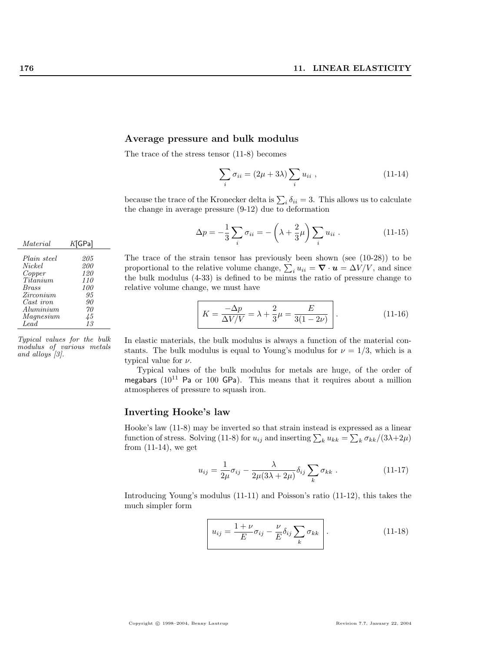#### Average pressure and bulk modulus

The trace of the stress tensor (11-8) becomes

$$
\sum_{i} \sigma_{ii} = (2\mu + 3\lambda) \sum_{i} u_{ii} , \qquad (11-14)
$$

because the trace of the Kronecker delta is  $\sum_i \delta_{ii} = 3$ . This allows us to calculate the change in average pressure (9-12) due to deformation

$$
\Delta p = -\frac{1}{3} \sum_{i} \sigma_{ii} = -\left(\lambda + \frac{2}{3}\mu\right) \sum_{i} u_{ii} . \qquad (11-15)
$$

The trace of the strain tensor has previously been shown (see (10-28)) to be The trace of the strain tensor has previously been shown (see (10-28)) to be<br>proportional to the relative volume change,  $\sum_i u_{ii} = \nabla \cdot \mathbf{u} = \Delta V/V$ , and since the bulk modulus (4-33) is defined to be minus the ratio of pressure change to relative volume change, we must have

$$
K = \frac{-\Delta p}{\Delta V/V} = \lambda + \frac{2}{3}\mu = \frac{E}{3(1 - 2\nu)}\Bigg.\tag{11-16}
$$

In elastic materials, the bulk modulus is always a function of the material constants. The bulk modulus is equal to Young's modulus for  $\nu = 1/3$ , which is a typical value for  $\nu$ .

Typical values of the bulk modulus for metals are huge, of the order of megabars  $(10^{11}$  Pa or 100 GPa). This means that it requires about a million atmospheres of pressure to squash iron.

#### Inverting Hooke's law

Hooke's law (11-8) may be inverted so that strain instead is expressed as a linear P hooke s law (11-8) may be inverted so that strain instead is expressed as a linear function of stress. Solving (11-8) for  $u_{ij}$  and inserting  $\sum_k u_{kk} = \sum_k \sigma_{kk}/(3\lambda + 2\mu)$ from  $(11-14)$ , we get

$$
u_{ij} = \frac{1}{2\mu}\sigma_{ij} - \frac{\lambda}{2\mu(3\lambda + 2\mu)}\delta_{ij}\sum_{k}\sigma_{kk}.
$$
 (11-17)

Introducing Young's modulus (11-11) and Poisson's ratio (11-12), this takes the much simpler form

$$
u_{ij} = \frac{1+\nu}{E} \sigma_{ij} - \frac{\nu}{E} \delta_{ij} \sum_{k} \sigma_{kk}
$$
 (11-18)

| Material        | $K$ [GPa]   |
|-----------------|-------------|
|                 |             |
| Plain steel     | 205         |
| Nickel          | 200         |
| Copper          | 120         |
| <i>Titanium</i> | 110         |
| <b>Brass</b>    | 100         |
| Zirconium       | 95          |
| Cast iron       | 90          |
| Aluminium       | 70          |
| Magnesium       | $\sqrt{45}$ |
| Lead            | 13          |
|                 |             |

Typical values for the bulk modulus of various metals and alloys [3].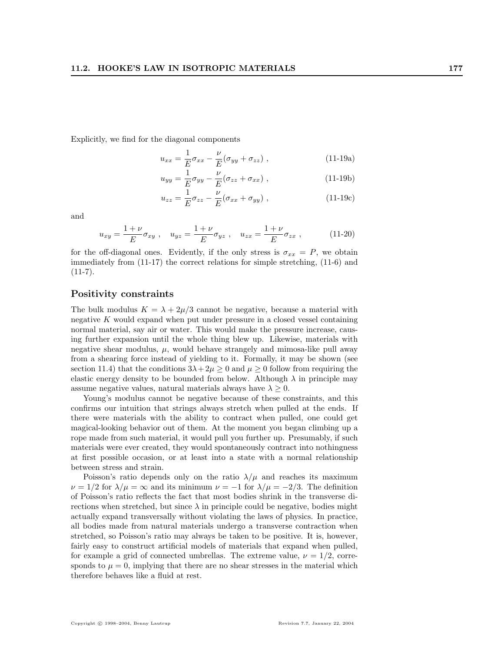Explicitly, we find for the diagonal components

$$
u_{xx} = \frac{1}{E}\sigma_{xx} - \frac{\nu}{E}(\sigma_{yy} + \sigma_{zz}), \qquad (11-19a)
$$

$$
u_{yy} = \frac{1}{E}\sigma_{yy} - \frac{\nu}{E}(\sigma_{zz} + \sigma_{xx}), \qquad (11-19b)
$$

$$
u_{zz} = \frac{1}{E}\sigma_{zz} - \frac{\nu}{E}(\sigma_{xx} + \sigma_{yy}), \qquad (11-19c)
$$

and

$$
u_{xy} = \frac{1+\nu}{E} \sigma_{xy} , \quad u_{yz} = \frac{1+\nu}{E} \sigma_{yz} , \quad u_{zx} = \frac{1+\nu}{E} \sigma_{zx} , \quad (11-20)
$$

for the off-diagonal ones. Evidently, if the only stress is  $\sigma_{xx} = P$ , we obtain immediately from (11-17) the correct relations for simple stretching, (11-6) and  $(11-7).$ 

#### Positivity constraints

The bulk modulus  $K = \lambda + 2\mu/3$  cannot be negative, because a material with negative K would expand when put under pressure in a closed vessel containing normal material, say air or water. This would make the pressure increase, causing further expansion until the whole thing blew up. Likewise, materials with negative shear modulus,  $\mu$ , would behave strangely and mimosa-like pull away from a shearing force instead of yielding to it. Formally, it may be shown (see section 11.4) that the conditions  $3\lambda + 2\mu \geq 0$  and  $\mu \geq 0$  follow from requiring the elastic energy density to be bounded from below. Although  $\lambda$  in principle may assume negative values, natural materials always have  $\lambda \geq 0$ .

Young's modulus cannot be negative because of these constraints, and this confirms our intuition that strings always stretch when pulled at the ends. If there were materials with the ability to contract when pulled, one could get magical-looking behavior out of them. At the moment you began climbing up a rope made from such material, it would pull you further up. Presumably, if such materials were ever created, they would spontaneously contract into nothingness at first possible occasion, or at least into a state with a normal relationship between stress and strain.

Poisson's ratio depends only on the ratio  $\lambda/\mu$  and reaches its maximum  $\nu = 1/2$  for  $\lambda/\mu = \infty$  and its minimum  $\nu = -1$  for  $\lambda/\mu = -2/3$ . The definition of Poisson's ratio reflects the fact that most bodies shrink in the transverse directions when stretched, but since  $\lambda$  in principle could be negative, bodies might actually expand transversally without violating the laws of physics. In practice, all bodies made from natural materials undergo a transverse contraction when stretched, so Poisson's ratio may always be taken to be positive. It is, however, fairly easy to construct artificial models of materials that expand when pulled, for example a grid of connected umbrellas. The extreme value,  $\nu = 1/2$ , corresponds to  $\mu = 0$ , implying that there are no shear stresses in the material which therefore behaves like a fluid at rest.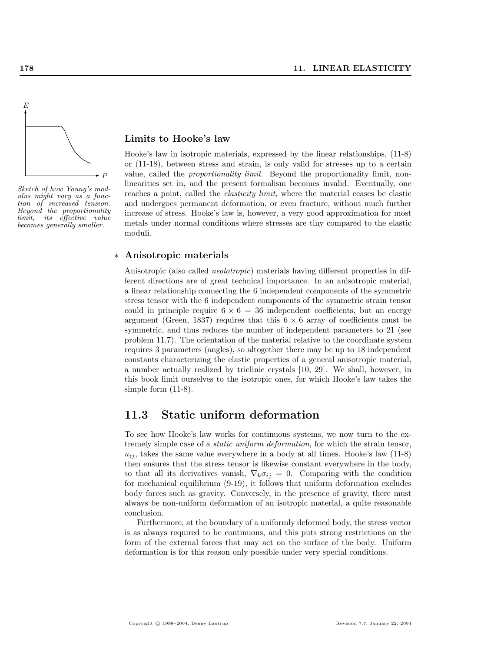

Sketch of how Young's modulus might vary as a function of increased tension. Beyond the proportionality limit, its effective value becomes generally smaller.

#### Limits to Hooke's law

Hooke's law in isotropic materials, expressed by the linear relationships, (11-8) or (11-18), between stress and strain, is only valid for stresses up to a certain value, called the proportionality limit. Beyond the proportionality limit, nonlinearities set in, and the present formalism becomes invalid. Eventually, one reaches a point, called the *elasticity limit*, where the material ceases be elastic and undergoes permanent deformation, or even fracture, without much further increase of stress. Hooke's law is, however, a very good approximation for most metals under normal conditions where stresses are tiny compared to the elastic moduli.

#### ∗ Anisotropic materials

Anisotropic (also called aeolotropic) materials having different properties in different directions are of great technical importance. In an anisotropic material, a linear relationship connecting the 6 independent components of the symmetric stress tensor with the 6 independent components of the symmetric strain tensor could in principle require  $6 \times 6 = 36$  independent coefficients, but an energy argument (Green, 1837) requires that this  $6 \times 6$  array of coefficients must be symmetric, and thus reduces the number of independent parameters to 21 (see problem 11.7). The orientation of the material relative to the coordinate system requires 3 parameters (angles), so altogether there may be up to 18 independent constants characterizing the elastic properties of a general anisotropic material, a number actually realized by triclinic crystals [10, 29]. We shall, however, in this book limit ourselves to the isotropic ones, for which Hooke's law takes the simple form (11-8).

## 11.3 Static uniform deformation

To see how Hooke's law works for continuous systems, we now turn to the extremely simple case of a static uniform deformation, for which the strain tensor,  $u_{ij}$ , takes the same value everywhere in a body at all times. Hooke's law (11-8) then ensures that the stress tensor is likewise constant everywhere in the body, so that all its derivatives vanish,  $\nabla_k \sigma_{ij} = 0$ . Comparing with the condition for mechanical equilibrium (9-19), it follows that uniform deformation excludes body forces such as gravity. Conversely, in the presence of gravity, there must always be non-uniform deformation of an isotropic material, a quite reasonable conclusion.

Furthermore, at the boundary of a uniformly deformed body, the stress vector is as always required to be continuous, and this puts strong restrictions on the form of the external forces that may act on the surface of the body. Uniform deformation is for this reason only possible under very special conditions.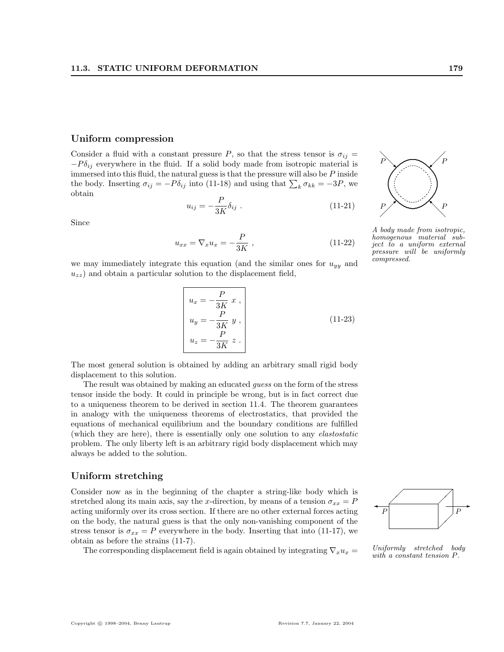#### Uniform compression

Consider a fluid with a constant pressure P, so that the stress tensor is  $\sigma_{ij} =$  $-P\delta_{ij}$  everywhere in the fluid. If a solid body made from isotropic material is immersed into this fluid, the natural guess is that the pressure will also be  $P$  inside immersed into this fiuld, the natural guess is that the pressure will also be F filside<br>the body. Inserting  $\sigma_{ij} = -P\delta_{ij}$  into (11-18) and using that  $\sum_k \sigma_{kk} = -3P$ , we obtain

$$
u_{ij} = -\frac{P}{3K} \delta_{ij} \tag{11-21}
$$

Since

$$
u_{xx} = \nabla_x u_x = -\frac{P}{3K} , \qquad (11-22)
$$

we may immediately integrate this equation (and the similar ones for  $u_{yy}$  and  $u_{zz}$ ) and obtain a particular solution to the displacement field,

$$
u_x = -\frac{P}{3K} x ,
$$
  
\n
$$
u_y = -\frac{P}{3K} y ,
$$
  
\n
$$
u_z = -\frac{P}{3K} z .
$$
\n(11-23)

The most general solution is obtained by adding an arbitrary small rigid body displacement to this solution.

The result was obtained by making an educated guess on the form of the stress tensor inside the body. It could in principle be wrong, but is in fact correct due to a uniqueness theorem to be derived in section 11.4. The theorem guarantees in analogy with the uniqueness theorems of electrostatics, that provided the equations of mechanical equilibrium and the boundary conditions are fulfilled (which they are here), there is essentially only one solution to any elastostatic problem. The only liberty left is an arbitrary rigid body displacement which may always be added to the solution.

#### Uniform stretching

Consider now as in the beginning of the chapter a string-like body which is stretched along its main axis, say the x-direction, by means of a tension  $\sigma_{xx} = P$ acting uniformly over its cross section. If there are no other external forces acting on the body, the natural guess is that the only non-vanishing component of the stress tensor is  $\sigma_{xx} = P$  everywhere in the body. Inserting that into (11-17), we obtain as before the strains (11-7).

The corresponding displacement field is again obtained by integrating  $\nabla_x u_x =$ 



Uniformly stretched body with a constant tension P.



A body made from isotropic, homogenous material subject to a uniform external pressure will be uniformly compressed.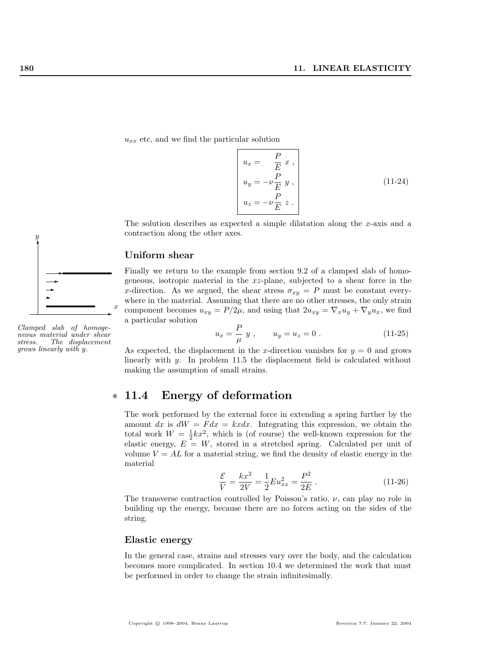$u_{xx}$  etc, and we find the particular solution

$$
\begin{aligned}\n u_x &= \frac{P}{E} x, \\
u_y &= -\nu \frac{P}{E} y, \\
u_z &= -\nu \frac{P}{E} z.\n \end{aligned}
$$
\n(11-24)

The solution describes as expected a simple dilatation along the x-axis and a contraction along the other axes.

#### Uniform shear

Finally we return to the example from section 9.2 of a clamped slab of homogeneous, isotropic material in the xz-plane, subjected to a shear force in the x-direction. As we argued, the shear stress  $\sigma_{xy} = P$  must be constant everywhere in the material. Assuming that there are no other stresses, the only strain component becomes  $u_{xy} = P/2\mu$ , and using that  $2u_{xy} = \nabla_x u_y + \nabla_y u_x$ , we find a particular solution

$$
u_x = -\frac{P}{\mu} y , \qquad u_y = u_z = 0 . \tag{11-25}
$$

As expected, the displacement in the x-direction vanishes for  $y = 0$  and grows linearly with y. In problem 11.5 the displacement field is calculated without making the assumption of small strains.

# ∗ 11.4 Energy of deformation

The work performed by the external force in extending a spring further by the amount dx is  $dW = F dx = kxdx$ . Integrating this expression, we obtain the total work  $W = \frac{1}{2}kx^2$ , which is (of course) the well-known expression for the elastic energy,  $E = W$ , stored in a stretched spring. Calculated per unit of volume  $V = AL$  for a material string, we find the density of elastic energy in the material

$$
\frac{\mathcal{E}}{V} = \frac{kx^2}{2V} = \frac{1}{2}Eu_{xx}^2 = \frac{P^2}{2E}.
$$
 (11-26)

The transverse contraction controlled by Poisson's ratio,  $\nu$ , can play no role in building up the energy, because there are no forces acting on the sides of the string.

#### Elastic energy

In the general case, strains and stresses vary over the body, and the calculation becomes more complicated. In section 10.4 we determined the work that must be performed in order to change the strain infinitesimally.



 $\rightarrow$ 

x

✲

 $^{\circ}$ 

 $\hat{y}$ 

neous material under shear stress. The displacement grows linearly with y.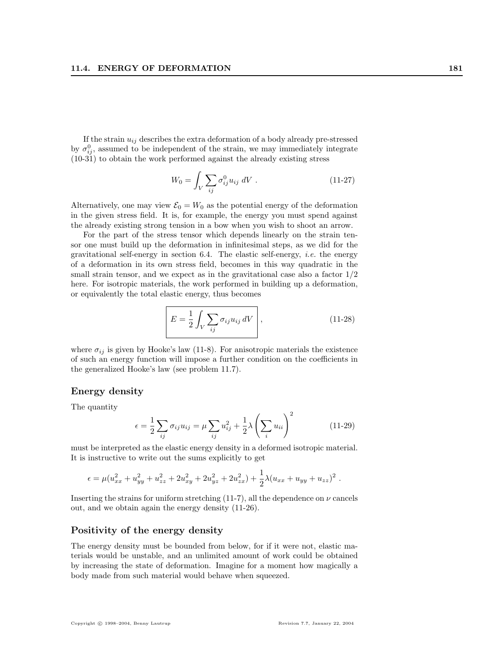If the strain  $u_{ij}$  describes the extra deformation of a body already pre-stressed by  $\sigma_{ij}^0$ , assumed to be independent of the strain, we may immediately integrate (10-31) to obtain the work performed against the already existing stress

$$
W_0 = \int_V \sum_{ij} \sigma_{ij}^0 u_{ij} \, dV \,. \tag{11-27}
$$

Alternatively, one may view  $\mathcal{E}_0 = W_0$  as the potential energy of the deformation in the given stress field. It is, for example, the energy you must spend against the already existing strong tension in a bow when you wish to shoot an arrow.

For the part of the stress tensor which depends linearly on the strain tensor one must build up the deformation in infinitesimal steps, as we did for the gravitational self-energy in section 6.4. The elastic self-energy, *i.e.* the energy of a deformation in its own stress field, becomes in this way quadratic in the small strain tensor, and we expect as in the gravitational case also a factor  $1/2$ here. For isotropic materials, the work performed in building up a deformation, or equivalently the total elastic energy, thus becomes

$$
E = \frac{1}{2} \int_{V} \sum_{ij} \sigma_{ij} u_{ij} dV, \qquad (11-28)
$$

where  $\sigma_{ij}$  is given by Hooke's law (11-8). For anisotropic materials the existence of such an energy function will impose a further condition on the coefficients in the generalized Hooke's law (see problem 11.7).

#### Energy density

The quantity

$$
\epsilon = \frac{1}{2} \sum_{ij} \sigma_{ij} u_{ij} = \mu \sum_{ij} u_{ij}^2 + \frac{1}{2} \lambda \left( \sum_i u_{ii} \right)^2 \tag{11-29}
$$

must be interpreted as the elastic energy density in a deformed isotropic material. It is instructive to write out the sums explicitly to get

$$
\epsilon = \mu (u_{xx}^2 + u_{yy}^2 + u_{zz}^2 + 2u_{xy}^2 + 2u_{yz}^2 + 2u_{zx}^2) + \frac{1}{2}\lambda (u_{xx} + u_{yy} + u_{zz})^2.
$$

Inserting the strains for uniform stretching (11-7), all the dependence on  $\nu$  cancels out, and we obtain again the energy density (11-26).

#### Positivity of the energy density

The energy density must be bounded from below, for if it were not, elastic materials would be unstable, and an unlimited amount of work could be obtained by increasing the state of deformation. Imagine for a moment how magically a body made from such material would behave when squeezed.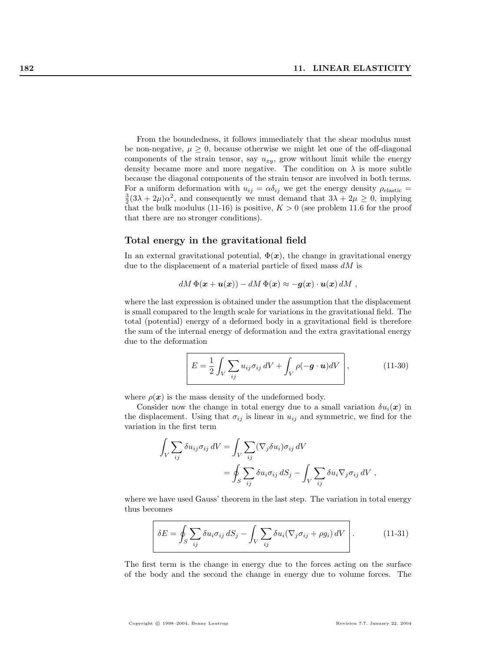From the boundedness, it follows immediately that the shear modulus must be non-negative,  $\mu \geq 0$ , because otherwise we might let one of the off-diagonal components of the strain tensor, say  $u_{xy}$ , grow without limit while the energy density became more and more negative. The condition on  $\lambda$  is more subtle because the diagonal components of the strain tensor are involved in both terms. For a uniform deformation with  $u_{ij} = \alpha \delta_{ij}$  we get the energy density  $\rho_{\text{elastic}} =$  $\frac{3}{2}(3\lambda + 2\mu)\alpha^2$ , and consequently we must demand that  $3\lambda + 2\mu \geq 0$ , implying that the bulk modulus (11-16) is positive,  $K > 0$  (see problem 11.6 for the proof that there are no stronger conditions).

### Total energy in the gravitational field

In an external gravitational potential,  $\Phi(x)$ , the change in gravitational energy due to the displacement of a material particle of fixed mass  $dM$  is

$$
dM\,\Phi(\mathbf{x}+\mathbf{u}(\mathbf{x})) - dM\,\Phi(\mathbf{x}) \approx -\mathbf{g}(\mathbf{x})\cdot\mathbf{u}(\mathbf{x})\,dM\;,
$$

where the last expression is obtained under the assumption that the displacement is small compared to the length scale for variations in the gravitational field. The total (potential) energy of a deformed body in a gravitational field is therefore the sum of the internal energy of deformation and the extra gravitational energy due to the deformation

$$
E = \frac{1}{2} \int_{V} \sum_{ij} u_{ij} \sigma_{ij} dV + \int_{V} \rho(-\boldsymbol{g} \cdot \boldsymbol{u}) dV, \qquad (11-30)
$$

where  $\rho(x)$  is the mass density of the undeformed body.

Consider now the change in total energy due to a small variation  $\delta u_i(x)$  in the displacement. Using that  $\sigma_{ij}$  is linear in  $u_{ij}$  and symmetric, we find for the variation in the first term

$$
\int_{V} \sum_{ij} \delta u_{ij} \sigma_{ij} dV = \int_{V} \sum_{ij} (\nabla_{j} \delta u_{i}) \sigma_{ij} dV
$$
  
= 
$$
\oint_{S} \sum_{ij} \delta u_{i} \sigma_{ij} dS_{j} - \int_{V} \sum_{ij} \delta u_{i} \nabla_{j} \sigma_{ij} dV,
$$

where we have used Gauss' theorem in the last step. The variation in total energy thus becomes

$$
\delta E = \oint_{S} \sum_{ij} \delta u_{i} \sigma_{ij} dS_{j} - \int_{V} \sum_{ij} \delta u_{i} (\nabla_{j} \sigma_{ij} + \rho g_{i}) dV \qquad (11-31)
$$

The first term is the change in energy due to the forces acting on the surface of the body and the second the change in energy due to volume forces. The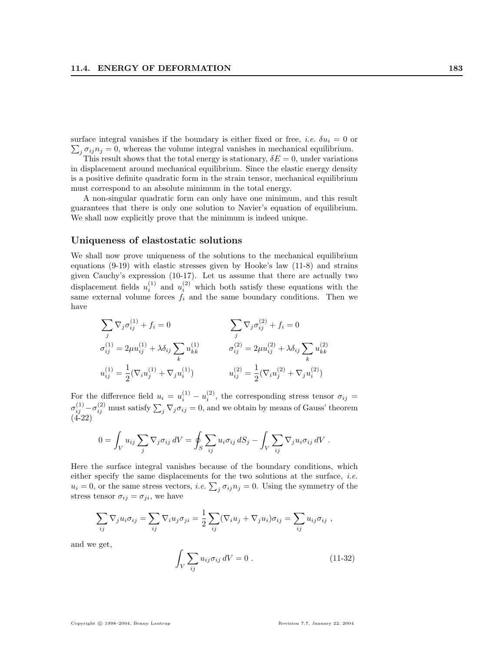surface integral vanishes if the boundary is either fixed or free, *i.e.*  $\delta u_i = 0$  or  $j \sigma_{ij} n_j = 0$ , whereas the volume integral vanishes in mechanical equilibrium.

This result shows that the total energy is stationary,  $\delta E = 0$ , under variations in displacement around mechanical equilibrium. Since the elastic energy density is a positive definite quadratic form in the strain tensor, mechanical equilibrium must correspond to an absolute minimum in the total energy.

A non-singular quadratic form can only have one minimum, and this result guarantees that there is only one solution to Navier's equation of equilibrium. We shall now explicitly prove that the minimum is indeed unique.

## Uniqueness of elastostatic solutions

We shall now prove uniqueness of the solutions to the mechanical equilibrium equations (9-19) with elastic stresses given by Hooke's law (11-8) and strains given Cauchy's expression (10-17). Let us assume that there are actually two displacement fields  $u_i^{(1)}$  and  $u_i^{(2)}$  which both satisfy these equations with the same external volume forces  $f_i$  and the same boundary conditions. Then we have

$$
\sum_{j} \nabla_{j} \sigma_{ij}^{(1)} + f_{i} = 0 \qquad \qquad \sum_{j} \nabla_{j} \sigma_{ij}^{(2)} + f_{i} = 0
$$
  
\n
$$
\sigma_{ij}^{(1)} = 2\mu u_{ij}^{(1)} + \lambda \delta_{ij} \sum_{k} u_{kk}^{(1)} \qquad \qquad \sigma_{ij}^{(2)} = 2\mu u_{ij}^{(2)} + \lambda \delta_{ij} \sum_{k} u_{kk}^{(2)}
$$
  
\n
$$
u_{ij}^{(1)} = \frac{1}{2} (\nabla_{i} u_{j}^{(1)} + \nabla_{j} u_{i}^{(1)}) \qquad \qquad u_{ij}^{(2)} = \frac{1}{2} (\nabla_{i} u_{j}^{(2)} + \nabla_{j} u_{i}^{(2)})
$$

For the difference field  $u_i = u_i^{(1)} - u_i^{(2)}$ , the corresponding stress tensor  $\sigma_{ij} =$ For the difference field  $\alpha_i = \alpha_i^i$   $\alpha_i^i$ , the corresponding series tensor  $\sigma_{ij} = \sigma_{ij}^{(1)} - \sigma_{ij}^{(2)}$  must satisfy  $\sum_j \nabla_j \sigma_{ij} = 0$ , and we obtain by means of Gauss' theorem  $(4-22)$ 

$$
0 = \int_{V} u_{ij} \sum_{j} \nabla_{j} \sigma_{ij} dV = \oint_{S} \sum_{ij} u_{i} \sigma_{ij} dS_{j} - \int_{V} \sum_{ij} \nabla_{j} u_{i} \sigma_{ij} dV.
$$

Here the surface integral vanishes because of the boundary conditions, which either specify the same displacements for the two solutions at the surface, *i.e.* either specify the same displacements for the two solutions at the surface, *i.e.*  $u_i = 0$ , or the same stress vectors, *i.e.*  $\sum_j \sigma_{ij} n_j = 0$ . Using the symmetry of the stress tensor  $\sigma_{ij} = \sigma_{ji}$ , we have

$$
\sum_{ij} \nabla_j u_i \sigma_{ij} = \sum_{ij} \nabla_i u_j \sigma_{ji} = \frac{1}{2} \sum_{ij} (\nabla_i u_j + \nabla_j u_i) \sigma_{ij} = \sum_{ij} u_{ij} \sigma_{ij} ,
$$

and we get,

$$
\int_{V} \sum_{ij} u_{ij} \sigma_{ij} dV = 0.
$$
\n(11-32)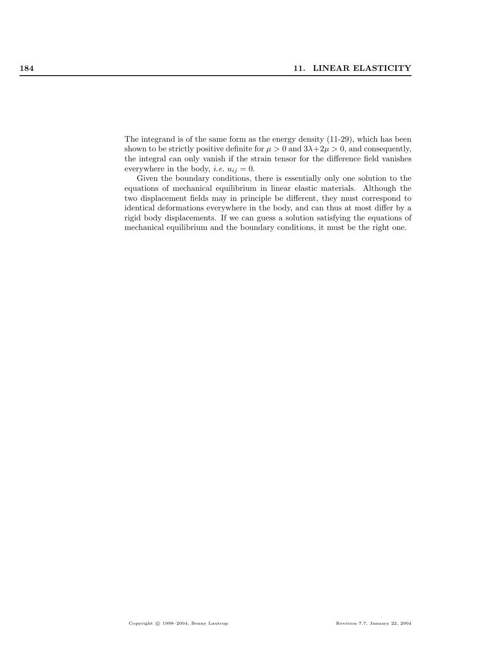The integrand is of the same form as the energy density (11-29), which has been shown to be strictly positive definite for  $\mu > 0$  and  $3\lambda + 2\mu > 0$ , and consequently, the integral can only vanish if the strain tensor for the difference field vanishes everywhere in the body, *i.e.*  $u_{ij} = 0$ .

Given the boundary conditions, there is essentially only one solution to the equations of mechanical equilibrium in linear elastic materials. Although the two displacement fields may in principle be different, they must correspond to identical deformations everywhere in the body, and can thus at most differ by a rigid body displacements. If we can guess a solution satisfying the equations of mechanical equilibrium and the boundary conditions, it must be the right one.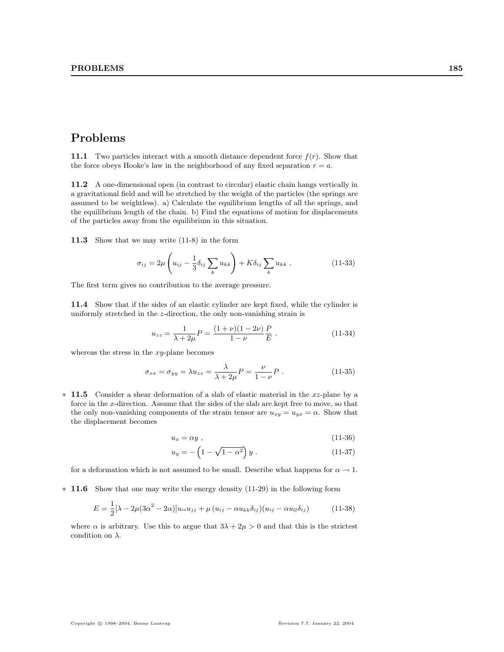# Problems

**11.1** Two particles interact with a smooth distance dependent force  $f(r)$ . Show that the force obeys Hooke's law in the neighborhood of any fixed separation  $r = a$ .

11.2 A one-dimensional open (in contrast to circular) elastic chain hangs vertically in a gravitational field and will be stretched by the weight of the particles (the springs are assumed to be weightless). a) Calculate the equilibrium lengths of all the springs, and the equilibrium length of the chain. b) Find the equations of motion for displacements of the particles away from the equilibrium in this situation.

11.3 Show that we may write (11-8) in the form

$$
\sigma_{ij} = 2\mu \left( u_{ij} - \frac{1}{3} \delta_{ij} \sum_{k} u_{kk} \right) + K \delta_{ij} \sum_{k} u_{kk} . \qquad (11-33)
$$

The first term gives no contribution to the average pressure.

11.4 Show that if the sides of an elastic cylinder are kept fixed, while the cylinder is uniformly stretched in the z-direction, the only non-vanishing strain is

$$
u_{zz} = \frac{1}{\lambda + 2\mu} P = \frac{(1 + \nu)(1 - 2\nu)}{1 - \nu} \frac{P}{E} .
$$
 (11-34)

whereas the stress in the  $xy$ -plane becomes

$$
\sigma_{xx} = \sigma_{yy} = \lambda u_{zz} = \frac{\lambda}{\lambda + 2\mu} P = \frac{\nu}{1 - \nu} P . \qquad (11-35)
$$

∗ 11.5 Consider a shear deformation of a slab of elastic material in the xz-plane by a force in the x-direction. Assume that the sides of the slab are kept free to move, so that the only non-vanishing components of the strain tensor are  $u_{xy} = u_{yx} = \alpha$ . Show that the displacement becomes

$$
u_x = \alpha y \t{11-36}
$$

$$
u_y = -\left(1 - \sqrt{1 - \alpha^2}\right)y \; . \tag{11-37}
$$

for a deformation which is not assumed to be small. Describe what happens for  $\alpha \to 1$ .

∗ 11.6 Show that one may write the energy density (11-29) in the following form

$$
E = \frac{1}{2} [\lambda - 2\mu (3\alpha^2 - 2\alpha)] u_{ii} u_{jj} + \mu (u_{ij} - \alpha u_{kk} \delta_{ij}) (u_{ij} - \alpha u_{ll} \delta_{ij})
$$
 (11-38)

where  $\alpha$  is arbitrary. Use this to argue that  $3\lambda + 2\mu > 0$  and that this is the strictest condition on  $\lambda$ .